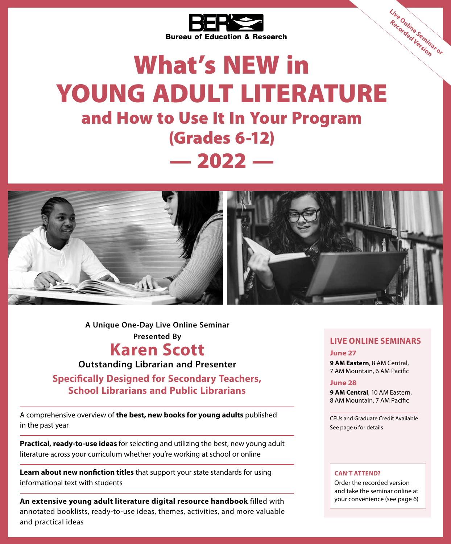

# What's NEW in YOUNG ADULT LITERATURE and How to Use It In Your Program (Grades 6-12)  $-2022-$



**A Unique One-Day Live Online Seminar Presented By**

## **Karen Scott**

**Outstanding Librarian and Presenter**

**Specifically Designed for Secondary Teachers, School Librarians and Public Librarians**

A comprehensive overview of **the best, new books for young adults** published in the past year

**Practical, ready‑to‑use ideas** for selecting and utilizing the best, new young adult literature across your curriculum whether you're working at school or online

**Learn about new nonfiction titles** that support your state standards for using informational text with students

**An extensive young adult literature digital resource handbook** filled with annotated booklists, ready‑to‑use ideas, themes, activities, and more valuable and practical ideas

### **LIVE ONLINE SEMINARS**

**Live Online Seminar or Recorded Version**

**June 27**

**9 AM Eastern**, 8 AM Central, 7 AM Mountain, 6 AM Pacific

### **June 28**

**9 AM Central**, 10 AM Eastern, 8 AM Mountain, 7 AM Pacific

CEUs and Graduate Credit Available See page 6 for details

### **CAN'T ATTEND?**

Order the recorded version and take the seminar online at your convenience (see page 6)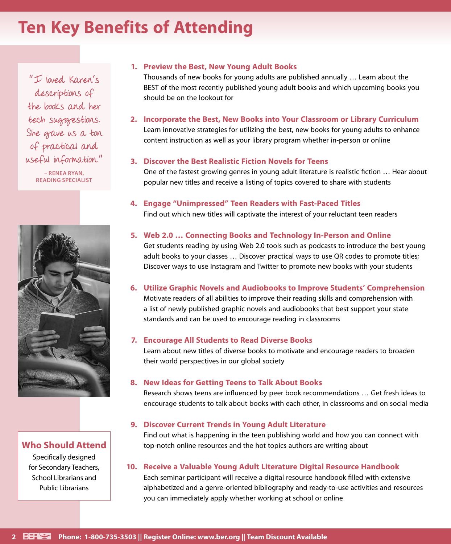# **Ten Key Benefits of Attending**

"I loved Karen's descriptions of the books and her tech suggestions. She gave us a ton of practical and useful information." **– RENEA RYAN, READING SPECIALIST**



**Who Should Attend**

Specifically designed for Secondary Teachers, School Librarians and Public Librarians

### **1. Preview the Best, New Young Adult Books**

Thousands of new books for young adults are published annually … Learn about the BEST of the most recently published young adult books and which upcoming books you should be on the lookout for

**2. Incorporate the Best, New Books into Your Classroom or Library Curriculum** Learn innovative strategies for utilizing the best, new books for young adults to enhance content instruction as well as your library program whether in-person or online

### **3. Discover the Best Realistic Fiction Novels for Teens**

One of the fastest growing genres in young adult literature is realistic fiction … Hear about popular new titles and receive a listing of topics covered to share with students

**4. Engage "Unimpressed" Teen Readers with Fast‑Paced Titles** Find out which new titles will captivate the interest of your reluctant teen readers

### **5. Web 2.0 … Connecting Books and Technology In-Person and Online**

Get students reading by using Web 2.0 tools such as podcasts to introduce the best young adult books to your classes … Discover practical ways to use QR codes to promote titles; Discover ways to use Instagram and Twitter to promote new books with your students

### **6. Utilize Graphic Novels and Audiobooks to Improve Students' Comprehension**

Motivate readers of all abilities to improve their reading skills and comprehension with a list of newly published graphic novels and audiobooks that best support your state standards and can be used to encourage reading in classrooms

### **7. Encourage All Students to Read Diverse Books**

Learn about new titles of diverse books to motivate and encourage readers to broaden their world perspectives in our global society

### **8. New Ideas for Getting Teens to Talk About Books**

Research shows teens are influenced by peer book recommendations … Get fresh ideas to encourage students to talk about books with each other, in classrooms and on social media

### **9. Discover Current Trends in Young Adult Literature**

Find out what is happening in the teen publishing world and how you can connect with top-notch online resources and the hot topics authors are writing about

### **10. Receive a Valuable Young Adult Literature Digital Resource Handbook**

Each seminar participant will receive a digital resource handbook filled with extensive alphabetized and a genre-oriented bibliography and ready-to-use activities and resources you can immediately apply whether working at school or online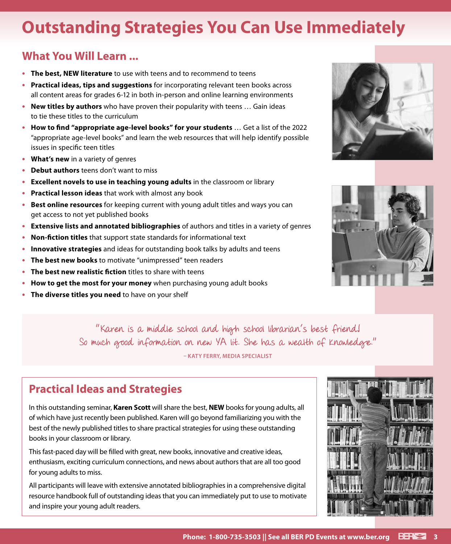# **Outstanding Strategies You Can Use Immediately**

### **What You Will Learn ...**

- **• The best, NEW literature** to use with teens and to recommend to teens
- **• Practical ideas, tips and suggestions** for incorporating relevant teen books across all content areas for grades 6‑12 in both in-person and online learning environments
- **• New titles by authors** who have proven their popularity with teens … Gain ideas to tie these titles to the curriculum
- **• How to find "appropriate age-level books" for your students** … Get a list of the 2022 "appropriate age-level books" and learn the web resources that will help identify possible issues in specific teen titles
- **• What's new** in a variety of genres
- **• Debut authors** teens don't want to miss
- **• Excellent novels to use in teaching young adults** in the classroom or library
- **• Practical lesson ideas** that work with almost any book
- **• Best online resources** for keeping current with young adult titles and ways you can get access to not yet published books
- **• Extensive lists and annotated bibliographies** of authors and titles in a variety of genres
- **• Non‑fiction titles** that support state standards for informational text
- **• Innovative strategies** and ideas for outstanding book talks by adults and teens
- **• The best new books** to motivate "unimpressed" teen readers
- **• The best new realistic fiction** titles to share with teens
- **• How to get the most for your money** when purchasing young adult books
- **• The diverse titles you need** to have on your shelf





"Karen is a middle school and high school librarian's best friend! So much good information on new YA lit. She has a wealth of knowledge."

**– KATY FERRY, MEDIA SPECIALIST**

### **Practical Ideas and Strategies**

In this outstanding seminar, **Karen Scott** will share the best, **NEW** books for young adults, all of which have just recently been published. Karen will go beyond familiarizing you with the best of the newly published titles to share practical strategies for using these outstanding books in your classroom or library.

This fast-paced day will be filled with great, new books, innovative and creative ideas, enthusiasm, exciting curriculum connections, and news about authors that are all too good for young adults to miss.

All participants will leave with extensive annotated bibliographies in a comprehensive digital resource handbook full of outstanding ideas that you can immediately put to use to motivate and inspire your young adult readers.

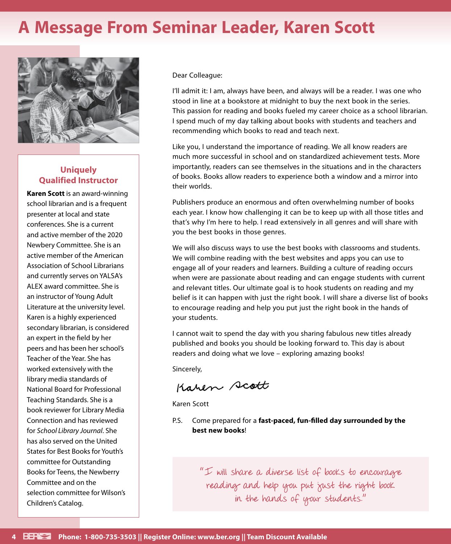# **A Message From Seminar Leader, Karen Scott**



### **Uniquely Qualified Instructor**

**Karen Scott** is an award-winning school librarian and is a frequent presenter at local and state conferences. She is a current and active member of the 2020 Newbery Committee. She is an active member of the American Association of School Librarians and currently serves on YALSA's ALEX award committee. She is an instructor of Young Adult Literature at the university level. Karen is a highly experienced secondary librarian, is considered an expert in the field by her peers and has been her school's Teacher of the Year. She has worked extensively with the library media standards of National Board for Professional Teaching Standards. She is a book reviewer for Library Media Connection and has reviewed for *School Library Journal*. She has also served on the United States for Best Books for Youth's committee for Outstanding Books for Teens, the Newberry Committee and on the selection committee for Wilson's Children's Catalog.

Dear Colleague:

I'll admit it: I am, always have been, and always will be a reader. I was one who stood in line at a bookstore at midnight to buy the next book in the series. This passion for reading and books fueled my career choice as a school librarian. I spend much of my day talking about books with students and teachers and recommending which books to read and teach next.

Like you, I understand the importance of reading. We all know readers are much more successful in school and on standardized achievement tests. More importantly, readers can see themselves in the situations and in the characters of books. Books allow readers to experience both a window and a mirror into their worlds.

Publishers produce an enormous and often overwhelming number of books each year. I know how challenging it can be to keep up with all those titles and that's why I'm here to help. I read extensively in all genres and will share with you the best books in those genres.

We will also discuss ways to use the best books with classrooms and students. We will combine reading with the best websites and apps you can use to engage all of your readers and learners. Building a culture of reading occurs when were are passionate about reading and can engage students with current and relevant titles. Our ultimate goal is to hook students on reading and my belief is it can happen with just the right book. I will share a diverse list of books to encourage reading and help you put just the right book in the hands of your students.

I cannot wait to spend the day with you sharing fabulous new titles already published and books you should be looking forward to. This day is about readers and doing what we love – exploring amazing books!

Sincerely,

Karen scott

Karen Scott

P.S. Come prepared for a **fast-paced, fun-filled day surrounded by the best new books**!

> "I will share a diverse list of books to encourage reading and help you put just the right book in the hands of your students."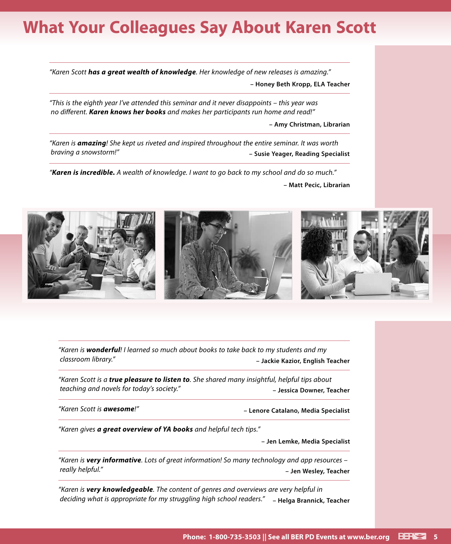# **What Your Colleagues Say About Karen Scott**

*"Karen Scott has a great wealth of knowledge. Her knowledge of new releases is amazing."* **– Honey Beth Kropp, ELA Teacher**

*"This is the eighth year I've attended this seminar and it never disappoints – this year was no different. Karen knows her books and makes her participants run home and read!"*

**– Amy Christman, Librarian**

*"Karen is amazing! She kept us riveted and inspired throughout the entire seminar. It was worth braving a snowstorm!"* **– Susie Yeager, Reading Specialist**

*"Karen is incredible. A wealth of knowledge. I want to go back to my school and do so much."*

**– Matt Pecic, Librarian**



*"Karen is wonderful! I learned so much about books to take back to my students and my classroom library."* **– Jackie Kazior, English Teacher**

*"Karen Scott is a true pleasure to listen to. She shared many insightful, helpful tips about teaching and novels for today's society."* **– Jessica Downer, Teacher**

*"Karen Scott is awesome!"* **– Lenore Catalano, Media Specialist**

*"Karen gives a great overview of YA books and helpful tech tips."*

**– Jen Lemke, Media Specialist**

*"Karen is very informative. Lots of great information! So many technology and app resources – really helpful."* **– Jen Wesley, Teacher**

*"Karen is very knowledgeable. The content of genres and overviews are very helpful in deciding what is appropriate for my struggling high school readers."* **– Helga Brannick, Teacher**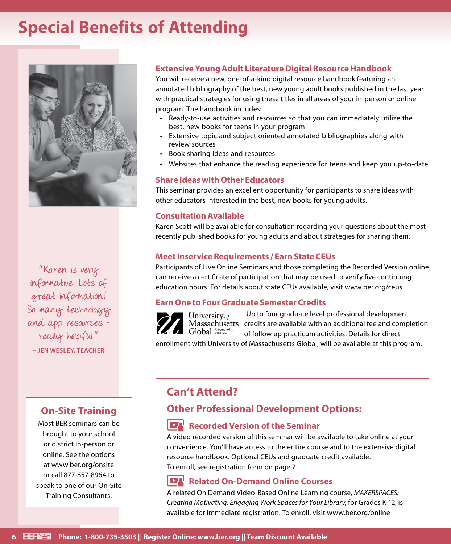# **Special Benefits of Attending**



"Karen is very informative. Lots of great information! So many technology and app resources – really helpful." **– JEN WESLEY, TEACHER**

### **On‑Site Training**

Most BER seminars can be brought to your school or district in-person or online. See the options at www.ber.org/onsite or call 877‑857‑8964 to speak to one of our On‑Site Training Consultants.

### **Extensive Young Adult Literature Digital Resource Handbook**

You will receive a new, one-of-a-kind digital resource handbook featuring an annotated bibliography of the best, new young adult books published in the last year with practical strategies for using these titles in all areas of your in-person or online program. The handbook includes:

- Ready‑to‑use activities and resources so that you can immediately utilize the best, new books for teens in your program
- Extensive topic and subject oriented annotated bibliographies along with review sources
- Book‑sharing ideas and resources
- Websites that enhance the reading experience for teens and keep you up-to-date

### **Share Ideas with Other Educators**

This seminar provides an excellent opportunity for participants to share ideas with other educators interested in the best, new books for young adults.

### **Consultation Available**

Karen Scott will be available for consultation regarding your questions about the most recently published books for young adults and about strategies for sharing them.

### **Meet Inservice Requirements / Earn State CEUs**

Participants of Live Online Seminars and those completing the Recorded Version online can receive a certificate of participation that may be used to verify five continuing education hours. For details about state CEUs available, visit www.ber.org/ceus

### **Earn One to Four Graduate Semester Credits**



Up to four graduate level professional development Massachusetts credits are available with an additional fee and completion of follow up practicum activities. Details for direct

enrollment with University of Massachusetts Global, will be available at this program.

### **Can't Attend?**

### **Other Professional Development Options:**

### **Recorded Version of the Seminar**

A video recorded version of this seminar will be available to take online at your convenience. You'll have access to the entire course and to the extensive digital resource handbook. Optional CEUs and graduate credit available. To enroll, see registration form on page 7.

### **Related On-Demand Online Courses**

A related On Demand Video-Based Online Learning course, *MAKERSPACES: Creating Motivating, Engaging Work Spaces for Your Library,* for Grades K-12, is available for immediate registration. To enroll, visit www.ber.org/online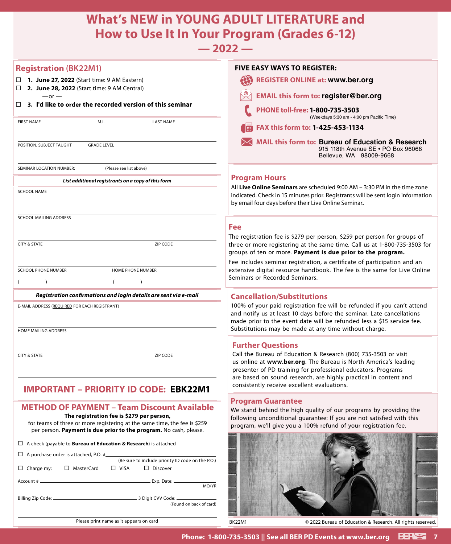## **What's NEW in YOUNG ADULT LITERATURE and How to Use It In Your Program (Grades 6-12)**

### **— 2022 —**

| <b>Registration (BK22M1)</b>                                                                                                                                                                | <b>FIVE EASY WAYS TO REGISTER:</b>                                                                                                                                                                                                                                      |
|---------------------------------------------------------------------------------------------------------------------------------------------------------------------------------------------|-------------------------------------------------------------------------------------------------------------------------------------------------------------------------------------------------------------------------------------------------------------------------|
| $\Box$ 1. June 27, 2022 (Start time: 9 AM Eastern)<br>$\Box$ 2. June 28, 2022 (Start time: 9 AM Central)                                                                                    | 42<br><b>REGISTER ONLINE at: www.ber.org</b>                                                                                                                                                                                                                            |
| $-$ or $-$                                                                                                                                                                                  | <b>EMAIL this form to: register@ber.org</b>                                                                                                                                                                                                                             |
| $\Box$ 3. I'd like to order the recorded version of this seminar                                                                                                                            | PHONE toll-free: 1-800-735-3503<br>(Weekdays 5:30 am - 4:00 pm Pacific Time)                                                                                                                                                                                            |
| <b>FIRST NAME</b><br><b>LAST NAME</b><br>M.I.                                                                                                                                               | FAX this form to: 1-425-453-1134                                                                                                                                                                                                                                        |
| POSITION, SUBJECT TAUGHT<br><b>GRADE LEVEL</b>                                                                                                                                              | <b>MAIL this form to: Bureau of Education &amp; Research</b><br>915 118th Avenue SE . PO Box 96068<br>Bellevue, WA 98009-9668                                                                                                                                           |
| SEMINAR LOCATION NUMBER: _<br>(Please see list above)                                                                                                                                       |                                                                                                                                                                                                                                                                         |
| List additional registrants on a copy of this form                                                                                                                                          | <b>Program Hours</b>                                                                                                                                                                                                                                                    |
| <b>SCHOOL NAME</b>                                                                                                                                                                          | All Live Online Seminars are scheduled 9:00 AM - 3:30 PM in the time zone<br>indicated. Check in 15 minutes prior. Registrants will be sent login information<br>by email four days before their Live Online Seminar.                                                   |
| SCHOOL MAILING ADDRESS                                                                                                                                                                      |                                                                                                                                                                                                                                                                         |
|                                                                                                                                                                                             | <b>Fee</b>                                                                                                                                                                                                                                                              |
| ZIP CODE<br><b>CITY &amp; STATE</b>                                                                                                                                                         | The registration fee is \$279 per person, \$259 per person for groups of<br>three or more registering at the same time. Call us at 1-800-735-3503 for<br>groups of ten or more. Payment is due prior to the program.                                                    |
|                                                                                                                                                                                             | Fee includes seminar registration, a certificate of participation and an                                                                                                                                                                                                |
| <b>SCHOOL PHONE NUMBER</b><br>HOME PHONE NUMBER                                                                                                                                             | extensive digital resource handbook. The fee is the same for Live Online<br>Seminars or Recorded Seminars.                                                                                                                                                              |
| $\lambda$<br>$\lambda$<br>(<br>€                                                                                                                                                            |                                                                                                                                                                                                                                                                         |
| Registration confirmations and login details are sent via e-mail                                                                                                                            | <b>Cancellation/Substitutions</b>                                                                                                                                                                                                                                       |
| E-MAIL ADDRESS (REQUIRED FOR EACH REGISTRANT)                                                                                                                                               | 100% of your paid registration fee will be refunded if you can't attend<br>and notify us at least 10 days before the seminar. Late cancellations                                                                                                                        |
|                                                                                                                                                                                             | made prior to the event date will be refunded less a \$15 service fee.<br>Substitutions may be made at any time without charge.                                                                                                                                         |
| HOME MAILING ADDRESS                                                                                                                                                                        |                                                                                                                                                                                                                                                                         |
|                                                                                                                                                                                             | <b>Further Questions</b>                                                                                                                                                                                                                                                |
| <b>CITY &amp; STATE</b><br>ZIP CODE                                                                                                                                                         | Call the Bureau of Education & Research (800) 735-3503 or visit<br>us online at www.ber.org. The Bureau is North America's leading<br>presenter of PD training for professional educators. Programs<br>are based on sound research, are highly practical in content and |
|                                                                                                                                                                                             | consistently receive excellent evaluations.                                                                                                                                                                                                                             |
| <b>IMPORTANT - PRIORITY ID CODE: EBK22M1</b>                                                                                                                                                |                                                                                                                                                                                                                                                                         |
| <b>METHOD OF PAYMENT - Team Discount Available</b>                                                                                                                                          | <b>Program Guarantee</b><br>We stand behind the high quality of our programs by providing the                                                                                                                                                                           |
| The registration fee is \$279 per person,<br>for teams of three or more registering at the same time, the fee is \$259<br>per person. Payment is due prior to the program. No cash, please. | following unconditional guarantee: If you are not satisfied with this<br>program, we'll give you a 100% refund of your registration fee.                                                                                                                                |
| $\Box$ A check (payable to <b>Bureau of Education &amp; Research</b> ) is attached                                                                                                          |                                                                                                                                                                                                                                                                         |
| $\Box$ A purchase order is attached, P.O. #<br>(Be sure to include priority ID code on the P.O.)                                                                                            |                                                                                                                                                                                                                                                                         |
| $\Box$ Charge my: $\Box$ MasterCard<br>$\Box$ VISA<br>$\Box$ Discover                                                                                                                       |                                                                                                                                                                                                                                                                         |
| MO/YR                                                                                                                                                                                       |                                                                                                                                                                                                                                                                         |
|                                                                                                                                                                                             |                                                                                                                                                                                                                                                                         |
| (Found on back of card)                                                                                                                                                                     |                                                                                                                                                                                                                                                                         |
| Please print name as it appears on card                                                                                                                                                     | <b>BK22M1</b><br>© 2022 Bureau of Education & Research. All rights reserved.                                                                                                                                                                                            |